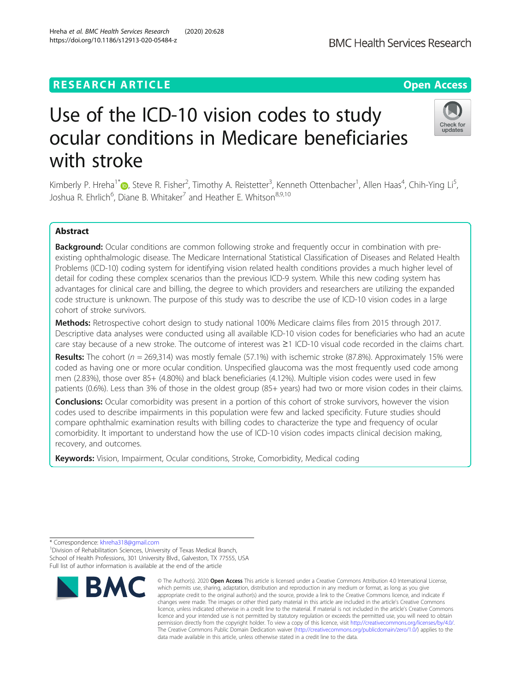## **RESEARCH ARTICLE Example 2014 12:30 The Contract of Contract ACCESS**

# Use of the ICD-10 vision codes to study ocular conditions in Medicare beneficiaries with stroke

Kimberly P. Hreha<sup>1\*</sup>©[,](https://orcid.org/0000-0002-8277-3992) Steve R. Fisher<sup>2</sup>, Timothy A. Reistetter<sup>3</sup>, Kenneth Ottenbacher<sup>1</sup>, Allen Haas<sup>4</sup>, Chih-Ying Li<sup>5</sup> , Joshua R. Ehrlich<sup>6</sup>, Diane B. Whitaker<sup>7</sup> and Heather E. Whitson<sup>8,9,10</sup>

## Abstract

**Background:** Ocular conditions are common following stroke and frequently occur in combination with preexisting ophthalmologic disease. The Medicare International Statistical Classification of Diseases and Related Health Problems (ICD-10) coding system for identifying vision related health conditions provides a much higher level of detail for coding these complex scenarios than the previous ICD-9 system. While this new coding system has advantages for clinical care and billing, the degree to which providers and researchers are utilizing the expanded code structure is unknown. The purpose of this study was to describe the use of ICD-10 vision codes in a large cohort of stroke survivors.

Methods: Retrospective cohort design to study national 100% Medicare claims files from 2015 through 2017. Descriptive data analyses were conducted using all available ICD-10 vision codes for beneficiaries who had an acute care stay because of a new stroke. The outcome of interest was ≥1 ICD-10 visual code recorded in the claims chart.

Results: The cohort ( $n = 269,314$ ) was mostly female (57.1%) with ischemic stroke (87.8%). Approximately 15% were coded as having one or more ocular condition. Unspecified glaucoma was the most frequently used code among men (2.83%), those over 85+ (4.80%) and black beneficiaries (4.12%). Multiple vision codes were used in few patients (0.6%). Less than 3% of those in the oldest group (85+ years) had two or more vision codes in their claims.

**Conclusions:** Ocular comorbidity was present in a portion of this cohort of stroke survivors, however the vision codes used to describe impairments in this population were few and lacked specificity. Future studies should compare ophthalmic examination results with billing codes to characterize the type and frequency of ocular comorbidity. It important to understand how the use of ICD-10 vision codes impacts clinical decision making, recovery, and outcomes.

Keywords: Vision, Impairment, Ocular conditions, Stroke, Comorbidity, Medical coding

\* Correspondence: [khreha318@gmail.com](mailto:khreha318@gmail.com) <sup>1</sup>

<sup>1</sup> Division of Rehabilitation Sciences, University of Texas Medical Branch, School of Health Professions, 301 University Blvd., Galveston, TX 77555, USA Full list of author information is available at the end of the article



© The Author(s), 2020 **Open Access** This article is licensed under a Creative Commons Attribution 4.0 International License,



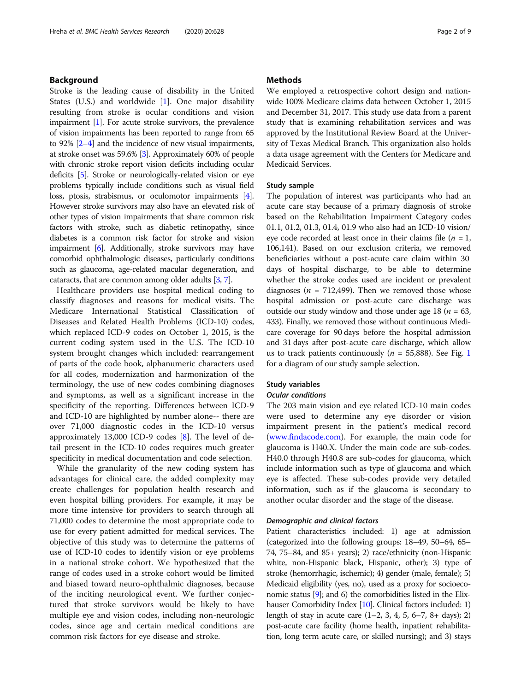## Background

Stroke is the leading cause of disability in the United States (U.S.) and worldwide [\[1](#page-8-0)]. One major disability resulting from stroke is ocular conditions and vision impairment [\[1](#page-8-0)]. For acute stroke survivors, the prevalence of vision impairments has been reported to range from 65 to 92% [\[2](#page-8-0)–[4\]](#page-8-0) and the incidence of new visual impairments, at stroke onset was 59.6% [\[3](#page-8-0)]. Approximately 60% of people with chronic stroke report vision deficits including ocular deficits [[5](#page-8-0)]. Stroke or neurologically-related vision or eye problems typically include conditions such as visual field loss, ptosis, strabismus, or oculomotor impairments [[4](#page-8-0)]. However stroke survivors may also have an elevated risk of other types of vision impairments that share common risk factors with stroke, such as diabetic retinopathy, since diabetes is a common risk factor for stroke and vision impairment [\[6\]](#page-8-0). Additionally, stroke survivors may have comorbid ophthalmologic diseases, particularly conditions such as glaucoma, age-related macular degeneration, and cataracts, that are common among older adults [\[3,](#page-8-0) [7\]](#page-8-0).

Healthcare providers use hospital medical coding to classify diagnoses and reasons for medical visits. The Medicare International Statistical Classification of Diseases and Related Health Problems (ICD-10) codes, which replaced ICD-9 codes on October 1, 2015, is the current coding system used in the U.S. The ICD-10 system brought changes which included: rearrangement of parts of the code book, alphanumeric characters used for all codes, modernization and harmonization of the terminology, the use of new codes combining diagnoses and symptoms, as well as a significant increase in the specificity of the reporting. Differences between ICD-9 and ICD-10 are highlighted by number alone-- there are over 71,000 diagnostic codes in the ICD-10 versus approximately 13,000 ICD-9 codes [[8\]](#page-8-0). The level of detail present in the ICD-10 codes requires much greater specificity in medical documentation and code selection.

While the granularity of the new coding system has advantages for clinical care, the added complexity may create challenges for population health research and even hospital billing providers. For example, it may be more time intensive for providers to search through all 71,000 codes to determine the most appropriate code to use for every patient admitted for medical services. The objective of this study was to determine the patterns of use of ICD-10 codes to identify vision or eye problems in a national stroke cohort. We hypothesized that the range of codes used in a stroke cohort would be limited and biased toward neuro-ophthalmic diagnoses, because of the inciting neurological event. We further conjectured that stroke survivors would be likely to have multiple eye and vision codes, including non-neurologic codes, since age and certain medical conditions are common risk factors for eye disease and stroke.

## **Methods**

We employed a retrospective cohort design and nationwide 100% Medicare claims data between October 1, 2015 and December 31, 2017. This study use data from a parent study that is examining rehabilitation services and was approved by the Institutional Review Board at the University of Texas Medical Branch. This organization also holds a data usage agreement with the Centers for Medicare and Medicaid Services.

## Study sample

The population of interest was participants who had an acute care stay because of a primary diagnosis of stroke based on the Rehabilitation Impairment Category codes 01.1, 01.2, 01.3, 01.4, 01.9 who also had an ICD-10 vision/ eye code recorded at least once in their claims file ( $n = 1$ , 106,141). Based on our exclusion criteria, we removed beneficiaries without a post-acute care claim within 30 days of hospital discharge, to be able to determine whether the stroke codes used are incident or prevalent diagnoses ( $n = 712,499$ ). Then we removed those whose hospital admission or post-acute care discharge was outside our study window and those under age 18 ( $n = 63$ , 433). Finally, we removed those without continuous Medicare coverage for 90 days before the hospital admission and 31 days after post-acute care discharge, which allow us to track patients continuously ( $n = 55,888$ ). See Fig. [1](#page-2-0) for a diagram of our study sample selection.

#### Study variables

#### Ocular conditions

The 203 main vision and eye related ICD-10 main codes were used to determine any eye disorder or vision impairment present in the patient's medical record ([www.findacode.com\)](http://www.findacode.com). For example, the main code for glaucoma is H40.X. Under the main code are sub-codes. H40.0 through H40.8 are sub-codes for glaucoma, which include information such as type of glaucoma and which eye is affected. These sub-codes provide very detailed information, such as if the glaucoma is secondary to another ocular disorder and the stage of the disease.

#### Demographic and clinical factors

Patient characteristics included: 1) age at admission (categorized into the following groups: 18–49, 50–64, 65– 74, 75–84, and 85+ years); 2) race/ethnicity (non-Hispanic white, non-Hispanic black, Hispanic, other); 3) type of stroke (hemorrhagic, ischemic); 4) gender (male, female); 5) Medicaid eligibility (yes, no), used as a proxy for socioeconomic status [\[9](#page-8-0)]; and 6) the comorbidities listed in the Elix-hauser Comorbidity Index [[10](#page-8-0)]. Clinical factors included: 1) length of stay in acute care  $(1-2, 3, 4, 5, 6-7, 8+ \text{days})$ ; 2) post-acute care facility (home health, inpatient rehabilitation, long term acute care, or skilled nursing); and 3) stays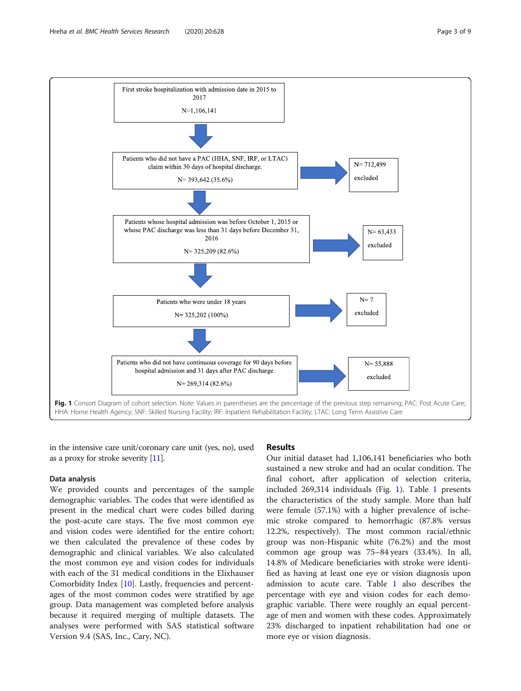<span id="page-2-0"></span>

in the intensive care unit/coronary care unit (yes, no), used as a proxy for stroke severity [\[11\]](#page-8-0).

#### Data analysis

We provided counts and percentages of the sample demographic variables. The codes that were identified as present in the medical chart were codes billed during the post-acute care stays. The five most common eye and vision codes were identified for the entire cohort; we then calculated the prevalence of these codes by demographic and clinical variables. We also calculated the most common eye and vision codes for individuals with each of the 31 medical conditions in the Elixhauser Comorbidity Index [\[10\]](#page-8-0). Lastly, frequencies and percentages of the most common codes were stratified by age group. Data management was completed before analysis because it required merging of multiple datasets. The analyses were performed with SAS statistical software Version 9.4 (SAS, Inc., Cary, NC).

## Results

Our initial dataset had 1,106,141 beneficiaries who both sustained a new stroke and had an ocular condition. The final cohort, after application of selection criteria, included 269,314 individuals (Fig. 1). Table [1](#page-3-0) presents the characteristics of the study sample. More than half were female (57.1%) with a higher prevalence of ischemic stroke compared to hemorrhagic (87.8% versus 12.2%, respectively). The most common racial/ethnic group was non-Hispanic white (76.2%) and the most common age group was 75–84 years (33.4%). In all, 14.8% of Medicare beneficiaries with stroke were identified as having at least one eye or vision diagnosis upon admission to acute care. Table [1](#page-3-0) also describes the percentage with eye and vision codes for each demographic variable. There were roughly an equal percentage of men and women with these codes. Approximately 23% discharged to inpatient rehabilitation had one or more eye or vision diagnosis.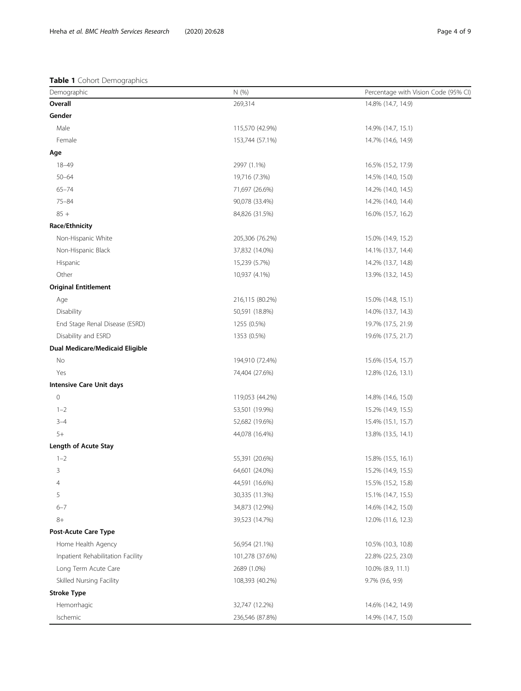## <span id="page-3-0"></span>Table 1 Cohort Demographics

| Demographic                       | N (%)           | Percentage with Vision Code (95% CI) |  |  |
|-----------------------------------|-----------------|--------------------------------------|--|--|
| Overall                           | 269,314         | 14.8% (14.7, 14.9)                   |  |  |
| Gender                            |                 |                                      |  |  |
| Male                              | 115,570 (42.9%) | 14.9% (14.7, 15.1)                   |  |  |
| Female                            | 153,744 (57.1%) | 14.7% (14.6, 14.9)                   |  |  |
| Age                               |                 |                                      |  |  |
| $18 - 49$                         | 2997 (1.1%)     | 16.5% (15.2, 17.9)                   |  |  |
| $50 - 64$                         | 19,716 (7.3%)   | 14.5% (14.0, 15.0)                   |  |  |
| $65 - 74$                         | 71,697 (26.6%)  | 14.2% (14.0, 14.5)                   |  |  |
| $75 - 84$                         | 90,078 (33.4%)  | 14.2% (14.0, 14.4)                   |  |  |
| $85 +$                            | 84,826 (31.5%)  | 16.0% (15.7, 16.2)                   |  |  |
| Race/Ethnicity                    |                 |                                      |  |  |
| Non-Hispanic White                | 205,306 (76.2%) | 15.0% (14.9, 15.2)                   |  |  |
| Non-Hispanic Black                | 37,832 (14.0%)  | 14.1% (13.7, 14.4)                   |  |  |
| Hispanic                          | 15,239 (5.7%)   | 14.2% (13.7, 14.8)                   |  |  |
| Other                             | 10,937 (4.1%)   | 13.9% (13.2, 14.5)                   |  |  |
| <b>Original Entitlement</b>       |                 |                                      |  |  |
| Age                               | 216,115 (80.2%) | 15.0% (14.8, 15.1)                   |  |  |
| Disability                        | 50,591 (18.8%)  | 14.0% (13.7, 14.3)                   |  |  |
| End Stage Renal Disease (ESRD)    | 1255 (0.5%)     | 19.7% (17.5, 21.9)                   |  |  |
| Disability and ESRD               | 1353 (0.5%)     | 19.6% (17.5, 21.7)                   |  |  |
| Dual Medicare/Medicaid Eligible   |                 |                                      |  |  |
| No                                | 194,910 (72.4%) | 15.6% (15.4, 15.7)                   |  |  |
| Yes                               | 74,404 (27.6%)  | 12.8% (12.6, 13.1)                   |  |  |
| <b>Intensive Care Unit days</b>   |                 |                                      |  |  |
| $\mathsf{O}\xspace$               | 119,053 (44.2%) | 14.8% (14.6, 15.0)                   |  |  |
| $1 - 2$                           | 53,501 (19.9%)  | 15.2% (14.9, 15.5)                   |  |  |
| $3 - 4$                           | 52,682 (19.6%)  | 15.4% (15.1, 15.7)                   |  |  |
| $5+$                              | 44,078 (16.4%)  | 13.8% (13.5, 14.1)                   |  |  |
| Length of Acute Stay              |                 |                                      |  |  |
| $1 - 2$                           | 55,391 (20.6%)  | 15.8% (15.5, 16.1)                   |  |  |
| 3                                 | 64,601 (24.0%)  | 15.2% (14.9, 15.5)                   |  |  |
| $\overline{4}$                    | 44,591 (16.6%)  | 15.5% (15.2, 15.8)                   |  |  |
| 5                                 | 30,335 (11.3%)  | 15.1% (14.7, 15.5)                   |  |  |
| $6 - 7$                           | 34,873 (12.9%)  | 14.6% (14.2, 15.0)                   |  |  |
| $8+$                              | 39,523 (14.7%)  | 12.0% (11.6, 12.3)                   |  |  |
| Post-Acute Care Type              |                 |                                      |  |  |
| Home Health Agency                | 56,954 (21.1%)  | 10.5% (10.3, 10.8)                   |  |  |
| Inpatient Rehabilitation Facility | 101,278 (37.6%) | 22.8% (22.5, 23.0)                   |  |  |
| Long Term Acute Care              | 2689 (1.0%)     | 10.0% (8.9, 11.1)                    |  |  |
| Skilled Nursing Facility          | 108,393 (40.2%) | 9.7% (9.6, 9.9)                      |  |  |
| <b>Stroke Type</b>                |                 |                                      |  |  |
| Hemorrhagic                       | 32,747 (12.2%)  | 14.6% (14.2, 14.9)                   |  |  |
| Ischemic                          | 236,546 (87.8%) | 14.9% (14.7, 15.0)                   |  |  |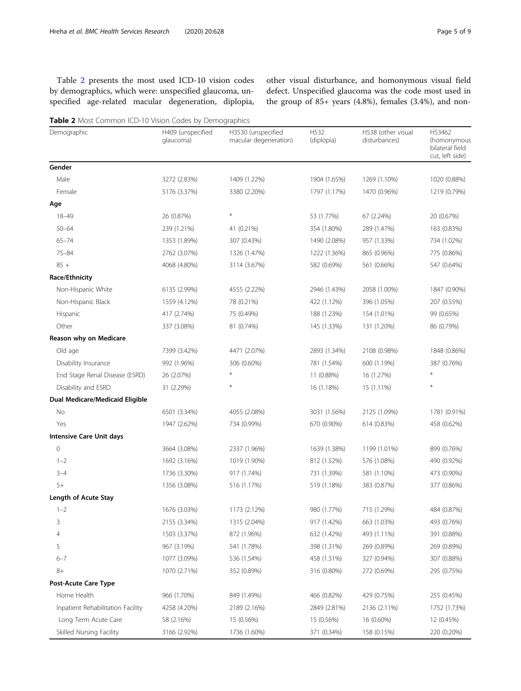Table 2 presents the most used ICD-10 vision codes by demographics, which were: unspecified glaucoma, unspecified age-related macular degeneration, diplopia, other visual disturbance, and homonymous visual field defect. Unspecified glaucoma was the code most used in the group of 85+ years (4.8%), females (3.4%), and non-

Table 2 Most Common ICD-10 Vision Codes by Demographics

| Demographic                       | H409 (unspecified<br>glaucoma) | H3530 (unspecified<br>macular degeneration) | H532<br>(diplopia) | H538 (other visual<br>disturbances) | H53462<br>(homonymous<br>bilateral field<br>cut, left side) |
|-----------------------------------|--------------------------------|---------------------------------------------|--------------------|-------------------------------------|-------------------------------------------------------------|
| Gender                            |                                |                                             |                    |                                     |                                                             |
| Male                              | 3272 (2.83%)                   | 1409 (1.22%)                                | 1904 (1.65%)       | 1269 (1.10%)                        | 1020 (0.88%)                                                |
| Female                            | 5176 (3.37%)                   | 3380 (2.20%)                                | 1797 (1.17%)       | 1470 (0.96%)                        | 1219 (0.79%)                                                |
| Age                               |                                |                                             |                    |                                     |                                                             |
| $18 - 49$                         | 26 (0.87%)                     | $\ast$                                      | 53 (1.77%)         | 67 (2.24%)                          | 20 (0.67%)                                                  |
| $50 - 64$                         | 239 (1.21%)                    | 41 (0.21%)                                  | 354 (1.80%)        | 289 (1.47%)                         | 163 (0.83%)                                                 |
| $65 - 74$                         | 1353 (1.89%)                   | 307 (0.43%)                                 | 1490 (2.08%)       | 957 (1.33%)                         | 734 (1.02%)                                                 |
| $75 - 84$                         | 2762 (3.07%)                   | 1326 (1.47%)                                | 1222 (1.36%)       | 865 (0.96%)                         | 775 (0.86%)                                                 |
| $85 +$                            | 4068 (4.80%)                   | 3114 (3.67%)                                | 582 (0.69%)        | 561 (0.66%)                         | 547 (0.64%)                                                 |
| Race/Ethnicity                    |                                |                                             |                    |                                     |                                                             |
| Non-Hispanic White                | 6135 (2.99%)                   | 4555 (2.22%)                                | 2946 (1.43%)       | 2058 (1.00%)                        | 1847 (0.90%)                                                |
| Non-Hispanic Black                | 1559 (4.12%)                   | 78 (0.21%)                                  | 422 (1.12%)        | 396 (1.05%)                         | 207 (0.55%)                                                 |
| Hispanic                          | 417 (2.74%)                    | 75 (0.49%)                                  | 188 (1.23%)        | 154 (1.01%)                         | 99 (0.65%)                                                  |
| Other                             | 337 (3.08%)                    | 81 (0.74%)                                  | 145 (1.33%)        | 131 (1.20%)                         | 86 (0.79%)                                                  |
| Reason why on Medicare            |                                |                                             |                    |                                     |                                                             |
| Old age                           | 7399 (3.42%)                   | 4471 (2.07%)                                | 2893 (1.34%)       | 2108 (0.98%)                        | 1848 (0.86%)                                                |
| Disability Insurance              | 992 (1.96%)                    | 306 (0.60%)                                 | 781 (1.54%)        | 600 (1.19%)                         | 387 (0.76%)                                                 |
| End Stage Renal Disease (ESRD)    | 26 (2.07%)                     | $\ast$                                      | 11 (0.88%)         | 16 (1.27%)                          |                                                             |
| Disability and ESRD               | 31 (2.29%)                     | $\ast$                                      | 16 (1.18%)         | 15 (1.11%)                          | $\ast$                                                      |
| Dual Medicare/Medicaid Eligible   |                                |                                             |                    |                                     |                                                             |
| No                                | 6501 (3.34%)                   | 4055 (2.08%)                                | 3031 (1.56%)       | 2125 (1.09%)                        | 1781 (0.91%)                                                |
| Yes                               | 1947 (2.62%)                   | 734 (0.99%)                                 | 670 (0.90%)        | 614 (0.83%)                         | 458 (0.62%)                                                 |
| <b>Intensive Care Unit days</b>   |                                |                                             |                    |                                     |                                                             |
| 0                                 | 3664 (3.08%)                   | 2337 (1.96%)                                | 1639 (1.38%)       | 1199 (1.01%)                        | 899 (0.76%)                                                 |
| $1 - 2$                           | 1692 (3.16%)                   | 1019 (1.90%)                                | 812 (1.52%)        | 576 (1.08%)                         | 490 (0.92%)                                                 |
| $3 - 4$                           | 1736 (3.30%)                   | 917 (1.74%)                                 | 731 (1.39%)        | 581 (1.10%)                         | 473 (0.90%)                                                 |
| $5+$                              | 1356 (3.08%)                   | 516 (1.17%)                                 | 519 (1.18%)        | 383 (0.87%)                         | 377 (0.86%)                                                 |
| Length of Acute Stay              |                                |                                             |                    |                                     |                                                             |
| $1 - 2$                           | 1676 (3.03%)                   | 1173 (2.12%)                                | 980 (1.77%)        | 715 (1.29%)                         | 484 (0.87%)                                                 |
| 3                                 | 2155 (3.34%)                   | 1315 (2.04%)                                | 917 (1.42%)        | 663 (1.03%)                         | 493 (0.76%)                                                 |
| 4                                 | 1503 (3.37%)                   | 872 (1.96%)                                 | 632 (1.42%)        | 493 (1.11%)                         | 391 (0.88%)                                                 |
| 5                                 | 967 (3.19%)                    | 541 (1.78%)                                 | 398 (1.31%)        | 269 (0.89%)                         | 269 (0.89%)                                                 |
| $6 - 7$                           | 1077 (3.09%)                   | 536 (1.54%)                                 | 458 (1.31%)        | 327 (0.94%)                         | 307 (0.88%)                                                 |
| $8+$                              | 1070 (2.71%)                   | 352 (0.89%)                                 | 316 (0.80%)        | 272 (0.69%)                         | 295 (0.75%)                                                 |
| <b>Post-Acute Care Type</b>       |                                |                                             |                    |                                     |                                                             |
| Home Health                       | 966 (1.70%)                    | 849 (1.49%)                                 | 466 (0.82%)        | 429 (0.75%)                         | 255 (0.45%)                                                 |
| Inpatient Rehabilitation Facility | 4258 (4.20%)                   | 2189 (2.16%)                                | 2849 (2.81%)       | 2136 (2.11%)                        | 1752 (1.73%)                                                |
| Long Term Acute Care              | 58 (2.16%)                     | 15 (0.56%)                                  | 15 (0.56%)         | 16 (0.60%)                          | 12 (0.45%)                                                  |
| Skilled Nursing Facility          | 3166 (2.92%)                   | 1736 (1.60%)                                | 371 (0.34%)        | 158 (0.15%)                         | 220 (0.20%)                                                 |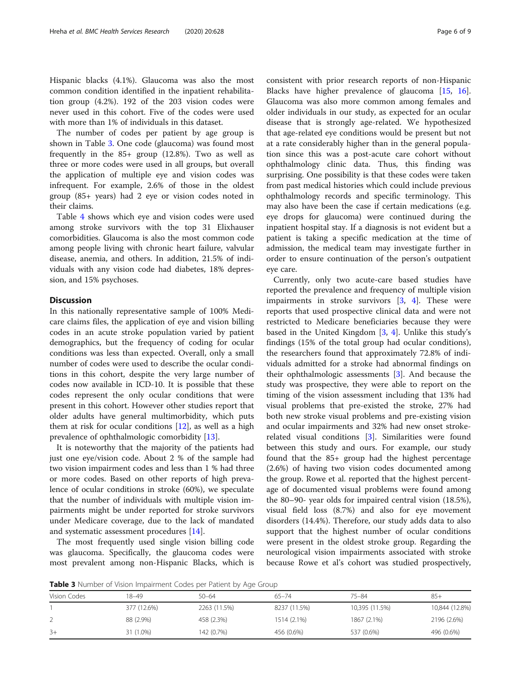Hispanic blacks (4.1%). Glaucoma was also the most common condition identified in the inpatient rehabilitation group (4.2%). 192 of the 203 vision codes were never used in this cohort. Five of the codes were used with more than 1% of individuals in this dataset.

The number of codes per patient by age group is shown in Table 3. One code (glaucoma) was found most frequently in the 85+ group (12.8%). Two as well as three or more codes were used in all groups, but overall the application of multiple eye and vision codes was infrequent. For example, 2.6% of those in the oldest group (85+ years) had 2 eye or vision codes noted in their claims.

Table [4](#page-6-0) shows which eye and vision codes were used among stroke survivors with the top 31 Elixhauser comorbidities. Glaucoma is also the most common code among people living with chronic heart failure, valvular disease, anemia, and others. In addition, 21.5% of individuals with any vision code had diabetes, 18% depression, and 15% psychoses.

## **Discussion**

In this nationally representative sample of 100% Medicare claims files, the application of eye and vision billing codes in an acute stroke population varied by patient demographics, but the frequency of coding for ocular conditions was less than expected. Overall, only a small number of codes were used to describe the ocular conditions in this cohort, despite the very large number of codes now available in ICD-10. It is possible that these codes represent the only ocular conditions that were present in this cohort. However other studies report that older adults have general multimorbidity, which puts them at risk for ocular conditions  $[12]$  $[12]$  $[12]$ , as well as a high prevalence of ophthalmologic comorbidity [\[13\]](#page-8-0).

It is noteworthy that the majority of the patients had just one eye/vision code. About 2 % of the sample had two vision impairment codes and less than 1 % had three or more codes. Based on other reports of high prevalence of ocular conditions in stroke (60%), we speculate that the number of individuals with multiple vision impairments might be under reported for stroke survivors under Medicare coverage, due to the lack of mandated and systematic assessment procedures [\[14\]](#page-8-0).

The most frequently used single vision billing code was glaucoma. Specifically, the glaucoma codes were most prevalent among non-Hispanic Blacks, which is consistent with prior research reports of non-Hispanic Blacks have higher prevalence of glaucoma [\[15](#page-8-0), [16](#page-8-0)]. Glaucoma was also more common among females and older individuals in our study, as expected for an ocular disease that is strongly age-related. We hypothesized that age-related eye conditions would be present but not at a rate considerably higher than in the general population since this was a post-acute care cohort without ophthalmology clinic data. Thus, this finding was surprising. One possibility is that these codes were taken from past medical histories which could include previous ophthalmology records and specific terminology. This may also have been the case if certain medications (e.g. eye drops for glaucoma) were continued during the inpatient hospital stay. If a diagnosis is not evident but a patient is taking a specific medication at the time of admission, the medical team may investigate further in order to ensure continuation of the person's outpatient eye care.

Currently, only two acute-care based studies have reported the prevalence and frequency of multiple vision impairments in stroke survivors [[3,](#page-8-0) [4\]](#page-8-0). These were reports that used prospective clinical data and were not restricted to Medicare beneficiaries because they were based in the United Kingdom [\[3](#page-8-0), [4](#page-8-0)]. Unlike this study's findings (15% of the total group had ocular conditions), the researchers found that approximately 72.8% of individuals admitted for a stroke had abnormal findings on their ophthalmologic assessments [[3\]](#page-8-0). And because the study was prospective, they were able to report on the timing of the vision assessment including that 13% had visual problems that pre-existed the stroke, 27% had both new stroke visual problems and pre-existing vision and ocular impairments and 32% had new onset strokerelated visual conditions [[3\]](#page-8-0). Similarities were found between this study and ours. For example, our study found that the 85+ group had the highest percentage (2.6%) of having two vision codes documented among the group. Rowe et al. reported that the highest percentage of documented visual problems were found among the 80–90- year olds for impaired central vision (18.5%), visual field loss (8.7%) and also for eye movement disorders (14.4%). Therefore, our study adds data to also support that the highest number of ocular conditions were present in the oldest stroke group. Regarding the neurological vision impairments associated with stroke because Rowe et al's cohort was studied prospectively,

Table 3 Number of Vision Impairment Codes per Patient by Age Group

| <b>TWAIN &amp;</b> Hamber of Vision impairment could per rationt by Age droap |             |              |              |                |                |  |  |
|-------------------------------------------------------------------------------|-------------|--------------|--------------|----------------|----------------|--|--|
| Vision Codes                                                                  | 18–49       | $50 - 64$    | $65 - 74$    | $75 - 84$      | $85+$          |  |  |
|                                                                               | 377 (12.6%) | 2263 (11.5%) | 8237 (11.5%) | 10,395 (11.5%) | 10,844 (12.8%) |  |  |
|                                                                               | 88 (2.9%)   | 458 (2.3%)   | 1514 (2.1%)  | 1867 (2.1%)    | 2196 (2.6%)    |  |  |
| $3+$                                                                          | 31 (1.0%)   | 142 (0.7%)   | 456 (0.6%)   | 537 (0.6%)     | 496 (0.6%)     |  |  |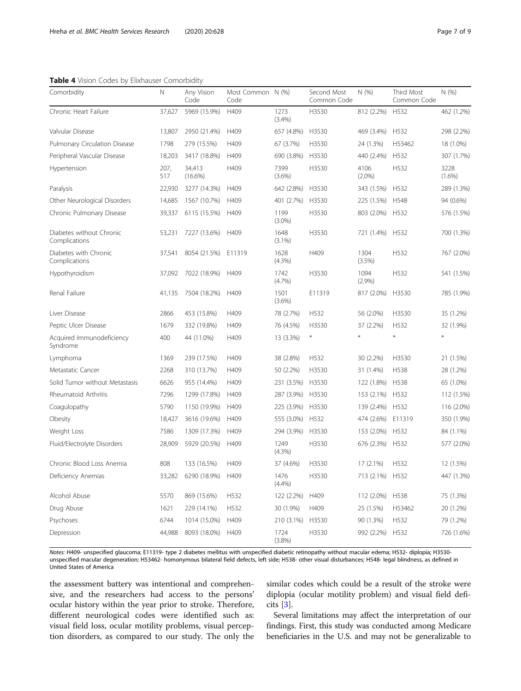#### <span id="page-6-0"></span>Table 4 Vision Codes by Elixhauser Comorbidity

| Comorbidity                               | N           | Any Vision<br>Code   | Most Common N (%)<br>Code |                   | Second Most<br>Common Code | N(% )             | Third Most<br>Common Code | N(%)              |
|-------------------------------------------|-------------|----------------------|---------------------------|-------------------|----------------------------|-------------------|---------------------------|-------------------|
| Chronic Heart Failure                     | 37,627      | 5969 (15.9%)         | H409                      | 1273<br>(3.4%)    | H3530                      | 812 (2.2%)        | H532                      | 462 (1.2%)        |
| Valvular Disease                          | 13,807      | 2950 (21.4%)         | H409                      | 657 (4.8%)        | H3530                      | 469 (3.4%)        | H532                      | 298 (2.2%)        |
| Pulmonary Circulation Disease             | 1798        | 279 (15.5%)          | H409                      | 67 (3.7%)         | H3530                      | 24 (1.3%)         | H53462                    | 18 (1.0%)         |
| Peripheral Vascular Disease               | 18,203      | 3417 (18.8%)         | H409                      | 690 (3.8%)        | H3530                      | 440 (2.4%)        | H532                      | 307 (1.7%)        |
| Hypertension                              | 207,<br>517 | 34,413<br>$(16.6\%)$ | H409                      | 7399<br>$(3.6\%)$ | H3530                      | 4106<br>$(2.0\%)$ | H532                      | 3228<br>$(1.6\%)$ |
| Paralysis                                 | 22,930      | 3277 (14.3%)         | H409                      | 642 (2.8%)        | H3530                      | 343 (1.5%)        | H532                      | 289 (1.3%)        |
| Other Neurological Disorders              | 14,685      | 1567 (10.7%)         | H409                      | 401 (2.7%)        | H3530                      | 225 (1.5%)        | H548                      | 94 (0.6%)         |
| Chronic Pulmonary Disease                 | 39,337      | 6115 (15.5%)         | H409                      | 1199<br>$(3.0\%)$ | H3530                      | 803 (2.0%)        | H532                      | 576 (1.5%)        |
| Diabetes without Chronic<br>Complications | 53,231      | 7227 (13.6%)         | H409                      | 1648<br>$(3.1\%)$ | H3530                      | 721 (1.4%)        | H532                      | 700 (1.3%)        |
| Diabetes with Chronic<br>Complications    | 37,541      | 8054 (21.5%)         | E11319                    | 1628<br>(4.3%)    | H409                       | 1304<br>(3.5%)    | H532                      | 767 (2.0%)        |
| Hypothyroidism                            | 37,092      | 7022 (18.9%)         | H409                      | 1742<br>(4.7%)    | H3530                      | 1094<br>(2.9%)    | H532                      | 541 (1.5%)        |
| Renal Failure                             | 41,135      | 7504 (18.2%)         | H409                      | 1501<br>$(3.6\%)$ | E11319                     | 817 (2.0%)        | H3530                     | 785 (1.9%)        |
| Liver Disease                             | 2866        | 453 (15.8%)          | H409                      | 78 (2.7%)         | H532                       | 56 (2.0%)         | H3530                     | 35 (1.2%)         |
| Peptic Ulcer Disease                      | 1679        | 332 (19.8%)          | H409                      | 76 (4.5%)         | H3530                      | 37 (2.2%)         | H532                      | 32 (1.9%)         |
| Acquired Immunodeficiency<br>Syndrome     | 400         | 44 (11.0%)           | H409                      | 13 (3.3%)         | X                          |                   | ¥                         | $\ast$            |
| Lymphoma                                  | 1369        | 239 (17.5%)          | H409                      | 38 (2.8%)         | H532                       | 30 (2.2%)         | H3530                     | 21 (1.5%)         |
| Metastatic Cancer                         | 2268        | 310 (13.7%)          | H409                      | 50 (2.2%)         | H3530                      | 31 (1.4%)         | H538                      | 28 (1.2%)         |
| Solid Tumor without Metastasis            | 6626        | 955 (14.4%)          | H409                      | 231 (3.5%)        | H3530                      | 122 (1.8%)        | H538                      | 65 (1.0%)         |
| Rheumatoid Arthritis                      | 7296        | 1299 (17.8%)         | H409                      | 287 (3.9%)        | H3530                      | 153 (2.1%)        | H532                      | 112 (1.5%)        |
| Coagulopathy                              | 5790        | 1150 (19.9%)         | H409                      | 225 (3.9%)        | H3530                      | 139 (2.4%)        | H532                      | 116 (2.0%)        |
| Obesity                                   | 18,427      | 3616 (19.6%)         | H409                      | 555 (3.0%)        | H532                       | 474 (2.6%)        | E11319                    | 350 (1.9%)        |
| Weight Loss                               | 7586        | 1309 (17.3%)         | H409                      | 294 (3.9%)        | H3530                      | 153 (2.0%)        | H532                      | 84 (1.1%)         |
| Fluid/Electrolyte Disorders               | 28,909      | 5929 (20.5%)         | H409                      | 1249<br>(4.3%)    | H3530                      | 676 (2.3%)        | H532                      | 577 (2.0%)        |
| Chronic Blood Loss Anemia                 | 808         | 133 (16.5%)          | H409                      | 37 (4.6%)         | H3530                      | $17(2.1\%)$       | H532                      | 12 (1.5%)         |
| Deficiency Anemias                        |             | 33,282 6290 (18.9%)  | H409                      | 1476<br>(4.4%)    | H3530                      | 713 (2.1%) H532   |                           | 447 (1.3%)        |
| Alcohol Abuse                             | 5570        | 869 (15.6%)          | H532                      | 122 (2.2%)        | H409                       | 112 (2.0%)        | H538                      | 75 (1.3%)         |
| Drug Abuse                                | 1621        | 229 (14.1%)          | H532                      | 30 (1.9%)         | H409                       | 25 (1.5%)         | H53462                    | 20 (1.2%)         |
| Psychoses                                 | 6744        | 1014 (15.0%)         | H409                      | 210 (3.1%)        | H3530                      | 90 (1.3%)         | H532                      | 79 (1.2%)         |
| Depression                                | 44,988      | 8093 (18.0%)         | H409                      | 1724<br>(3.8%)    | H3530                      | 992 (2.2%)        | H532                      | 726 (1.6%)        |

Notes: H409- unspecified glaucoma; E11319- type 2 diabetes mellitus with unspecified diabetic retinopathy without macular edema; H532- diplopia; H3530 unspecified macular degeneration; H53462- homonymous bilateral field defects, left side; H538- other visual disturbances; H548- legal blindness, as defined in United States of America

the assessment battery was intentional and comprehensive, and the researchers had access to the persons' ocular history within the year prior to stroke. Therefore, different neurological codes were identified such as: visual field loss, ocular motility problems, visual perception disorders, as compared to our study. The only the similar codes which could be a result of the stroke were diplopia (ocular motility problem) and visual field deficits [[3\]](#page-8-0).

Several limitations may affect the interpretation of our findings. First, this study was conducted among Medicare beneficiaries in the U.S. and may not be generalizable to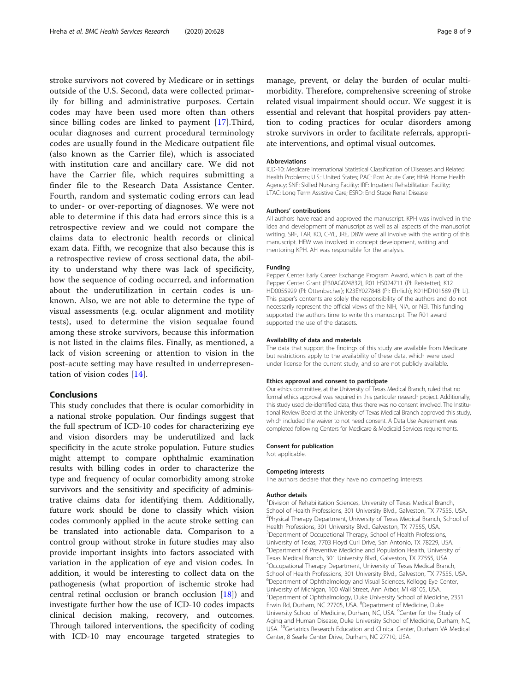stroke survivors not covered by Medicare or in settings outside of the U.S. Second, data were collected primarily for billing and administrative purposes. Certain codes may have been used more often than others since billing codes are linked to payment [[17\]](#page-8-0).Third, ocular diagnoses and current procedural terminology codes are usually found in the Medicare outpatient file (also known as the Carrier file), which is associated with institution care and ancillary care. We did not have the Carrier file, which requires submitting a finder file to the Research Data Assistance Center. Fourth, random and systematic coding errors can lead to under- or over-reporting of diagnoses. We were not able to determine if this data had errors since this is a retrospective review and we could not compare the claims data to electronic health records or clinical exam data. Fifth, we recognize that also because this is a retrospective review of cross sectional data, the ability to understand why there was lack of specificity, how the sequence of coding occurred, and information about the underutilization in certain codes is unknown. Also, we are not able to determine the type of visual assessments (e.g. ocular alignment and motility tests), used to determine the vision sequalae found among these stroke survivors, because this information is not listed in the claims files. Finally, as mentioned, a lack of vision screening or attention to vision in the post-acute setting may have resulted in underrepresentation of vision codes [\[14](#page-8-0)].

## Conclusions

This study concludes that there is ocular comorbidity in a national stroke population. Our findings suggest that the full spectrum of ICD-10 codes for characterizing eye and vision disorders may be underutilized and lack specificity in the acute stroke population. Future studies might attempt to compare ophthalmic examination results with billing codes in order to characterize the type and frequency of ocular comorbidity among stroke survivors and the sensitivity and specificity of administrative claims data for identifying them. Additionally, future work should be done to classify which vision codes commonly applied in the acute stroke setting can be translated into actionable data. Comparison to a control group without stroke in future studies may also provide important insights into factors associated with variation in the application of eye and vision codes. In addition, it would be interesting to collect data on the pathogenesis (what proportion of ischemic stroke had central retinal occlusion or branch occlusion [[18\]](#page-8-0)) and investigate further how the use of ICD-10 codes impacts clinical decision making, recovery, and outcomes. Through tailored interventions, the specificity of coding with ICD-10 may encourage targeted strategies to

manage, prevent, or delay the burden of ocular multimorbidity. Therefore, comprehensive screening of stroke related visual impairment should occur. We suggest it is essential and relevant that hospital providers pay attention to coding practices for ocular disorders among stroke survivors in order to facilitate referrals, appropriate interventions, and optimal visual outcomes.

#### Abbreviations

ICD-10: Medicare International Statistical Classification of Diseases and Related Health Problems; U.S.: United States; PAC: Post Acute Care; HHA: Home Health Agency; SNF: Skilled Nursing Facility; IRF: Inpatient Rehabilitation Facility; LTAC: Long Term Assistive Care; ESRD: End Stage Renal Disease

#### Authors' contributions

All authors have read and approved the manuscript. KPH was involved in the idea and development of manuscript as well as all aspects of the manuscript writing. SRF, TAR, KO, C-YL, JRE, DBW were all involve with the writing of this manuscript. HEW was involved in concept development, writing and mentoring KPH. AH was responsible for the analysis.

#### Funding

Pepper Center Early Career Exchange Program Award, which is part of the Pepper Center Grant (P30AG024832), R01 HS024711 (PI: Reistetter); K12 HD0055929 (PI: Ottenbacher); K23EY027848 (PI: Ehrlich); K01HD101589 (PI: Li). This paper's contents are solely the responsibility of the authors and do not necessarily represent the official views of the NIH, NIA, or NEI. This funding supported the authors time to write this manuscript. The R01 award supported the use of the datasets.

#### Availability of data and materials

The data that support the findings of this study are available from Medicare but restrictions apply to the availability of these data, which were used under license for the current study, and so are not publicly available.

#### Ethics approval and consent to participate

Our ethics committee, at the University of Texas Medical Branch, ruled that no formal ethics approval was required in this particular research project. Additionally, this study used de-identified data, thus there was no consent involved. The Institutional Review Board at the University of Texas Medical Branch approved this study, which included the waiver to not need consent. A Data Use Agreement was completed following Centers for Medicare & Medicaid Services requirements.

#### Consent for publication

Not applicable.

#### Competing interests

The authors declare that they have no competing interests.

#### Author details

<sup>1</sup> Division of Rehabilitation Sciences, University of Texas Medical Branch, School of Health Professions, 301 University Blvd., Galveston, TX 77555, USA. <sup>2</sup>Physical Therapy Department, University of Texas Medical Branch, School of Health Professions, 301 University Blvd., Galveston, TX 77555, USA. <sup>3</sup>Department of Occupational Therapy, School of Health Professions, University of Texas, 7703 Floyd Curl Drive, San Antonio, TX 78229, USA. 4 Department of Preventive Medicine and Population Health, University of Texas Medical Branch, 301 University Blvd., Galveston, TX 77555, USA. 5 Occupational Therapy Department, University of Texas Medical Branch, School of Health Professions, 301 University Blvd., Galveston, TX 77555, USA. 6 Department of Ophthalmology and Visual Sciences, Kellogg Eye Center, University of Michigan, 100 Wall Street, Ann Arbor, MI 48105, USA. <sup>7</sup>Department of Ophthalmology, Duke University School of Medicine, 2351 Erwin Rd, Durham, NC 27705, USA. <sup>8</sup>Department of Medicine, Duke University School of Medicine, Durham, NC, USA. <sup>9</sup>Center for the Study of Aging and Human Disease, Duke University School of Medicine, Durham, NC, USA. 10Geriatrics Research Education and Clinical Center, Durham VA Medical Center, 8 Searle Center Drive, Durham, NC 27710, USA.